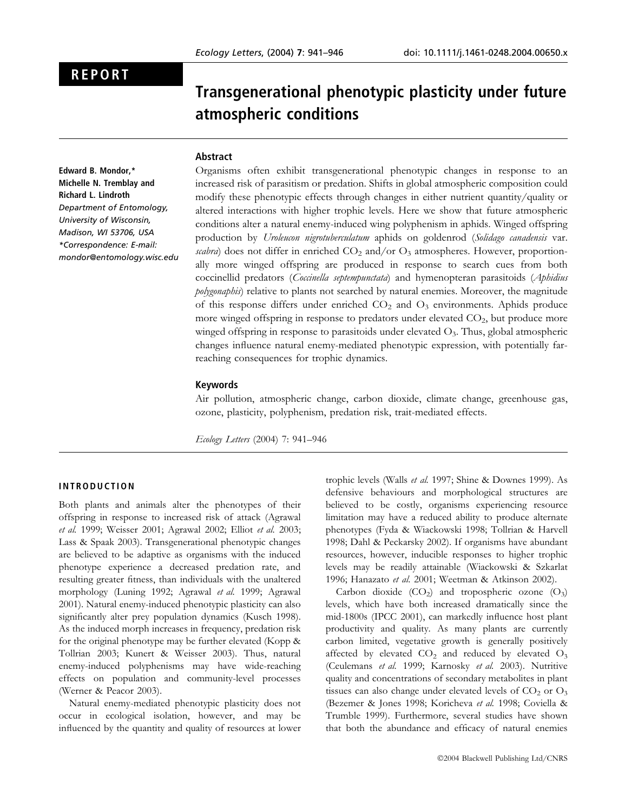# REPORT

Transgenerational phenotypic plasticity under future atmospheric conditions

## Abstract

Edward B. Mondor,\* Michelle N. Tremblay and Richard L. Lindroth Department of Entomology, University of Wisconsin, Madison, WI 53706, USA \*Correspondence: E-mail: mondor@entomology.wisc.edu

Organisms often exhibit transgenerational phenotypic changes in response to an increased risk of parasitism or predation. Shifts in global atmospheric composition could modify these phenotypic effects through changes in either nutrient quantity/quality or altered interactions with higher trophic levels. Here we show that future atmospheric conditions alter a natural enemy-induced wing polyphenism in aphids. Winged offspring production by Uroleucon nigrotuberculatum aphids on goldenrod (Solidago canadensis var. scabra) does not differ in enriched  $CO<sub>2</sub>$  and/or  $O<sub>3</sub>$  atmospheres. However, proportionally more winged offspring are produced in response to search cues from both coccinellid predators (Coccinella septempunctata) and hymenopteran parasitoids (Aphidius polygonaphis) relative to plants not searched by natural enemies. Moreover, the magnitude of this response differs under enriched  $CO<sub>2</sub>$  and  $O<sub>3</sub>$  environments. Aphids produce more winged offspring in response to predators under elevated CO<sub>2</sub>, but produce more winged offspring in response to parasitoids under elevated  $O<sub>3</sub>$ . Thus, global atmospheric changes influence natural enemy-mediated phenotypic expression, with potentially farreaching consequences for trophic dynamics.

#### Keywords

Air pollution, atmospheric change, carbon dioxide, climate change, greenhouse gas, ozone, plasticity, polyphenism, predation risk, trait-mediated effects.

Ecology Letters (2004) 7: 941–946

## INTRODUCTION

Both plants and animals alter the phenotypes of their offspring in response to increased risk of attack (Agrawal et al. 1999; Weisser 2001; Agrawal 2002; Elliot et al. 2003; Lass & Spaak 2003). Transgenerational phenotypic changes are believed to be adaptive as organisms with the induced phenotype experience a decreased predation rate, and resulting greater fitness, than individuals with the unaltered morphology (Luning 1992; Agrawal et al. 1999; Agrawal 2001). Natural enemy-induced phenotypic plasticity can also significantly alter prey population dynamics (Kusch 1998). As the induced morph increases in frequency, predation risk for the original phenotype may be further elevated (Kopp & Tollrian 2003; Kunert & Weisser 2003). Thus, natural enemy-induced polyphenisms may have wide-reaching effects on population and community-level processes (Werner & Peacor 2003).

Natural enemy-mediated phenotypic plasticity does not occur in ecological isolation, however, and may be influenced by the quantity and quality of resources at lower trophic levels (Walls et al. 1997; Shine & Downes 1999). As defensive behaviours and morphological structures are believed to be costly, organisms experiencing resource limitation may have a reduced ability to produce alternate phenotypes (Fyda & Wiackowski 1998; Tollrian & Harvell 1998; Dahl & Peckarsky 2002). If organisms have abundant resources, however, inducible responses to higher trophic levels may be readily attainable (Wiackowski & Szkarlat 1996; Hanazato et al. 2001; Weetman & Atkinson 2002).

Carbon dioxide  $(CO_2)$  and tropospheric ozone  $(O_3)$ levels, which have both increased dramatically since the mid-1800s (IPCC 2001), can markedly influence host plant productivity and quality. As many plants are currently carbon limited, vegetative growth is generally positively affected by elevated  $CO<sub>2</sub>$  and reduced by elevated  $O<sub>3</sub>$ (Ceulemans et al. 1999; Karnosky et al. 2003). Nutritive quality and concentrations of secondary metabolites in plant tissues can also change under elevated levels of  $CO<sub>2</sub>$  or  $O<sub>3</sub>$ (Bezemer & Jones 1998; Koricheva et al. 1998; Coviella & Trumble 1999). Furthermore, several studies have shown that both the abundance and efficacy of natural enemies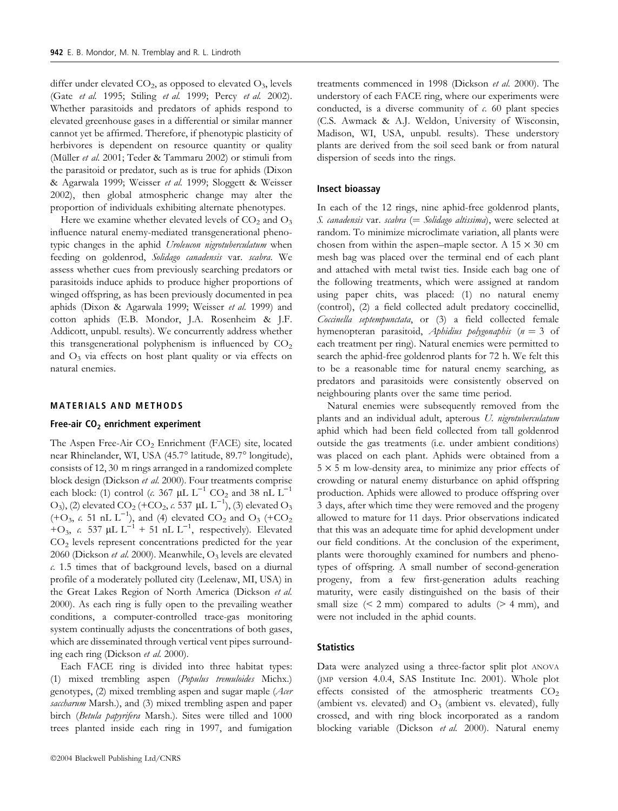differ under elevated  $CO_2$ , as opposed to elevated  $O_3$ , levels (Gate et al. 1995; Stiling et al. 1999; Percy et al. 2002). Whether parasitoids and predators of aphids respond to elevated greenhouse gases in a differential or similar manner cannot yet be affirmed. Therefore, if phenotypic plasticity of herbivores is dependent on resource quantity or quality (Müller et al. 2001; Teder & Tammaru 2002) or stimuli from the parasitoid or predator, such as is true for aphids (Dixon & Agarwala 1999; Weisser et al. 1999; Sloggett & Weisser 2002), then global atmospheric change may alter the proportion of individuals exhibiting alternate phenotypes.

Here we examine whether elevated levels of  $CO<sub>2</sub>$  and  $O<sub>3</sub>$ influence natural enemy-mediated transgenerational phenotypic changes in the aphid Uroleucon nigrotuberculatum when feeding on goldenrod, Solidago canadensis var. scabra. We assess whether cues from previously searching predators or parasitoids induce aphids to produce higher proportions of winged offspring, as has been previously documented in pea aphids (Dixon & Agarwala 1999; Weisser et al. 1999) and cotton aphids (E.B. Mondor, J.A. Rosenheim & J.F. Addicott, unpubl. results). We concurrently address whether this transgenerational polyphenism is influenced by  $CO<sub>2</sub>$ and  $O_3$  via effects on host plant quality or via effects on natural enemies.

## MATERIALS AND METHODS

## Free-air  $CO<sub>2</sub>$  enrichment experiment

The Aspen Free-Air  $CO<sub>2</sub>$  Enrichment (FACE) site, located near Rhinelander, WI, USA (45.7° latitude, 89.7° longitude), consists of 12, 30 m rings arranged in a randomized complete block design (Dickson et al. 2000). Four treatments comprise each block: (1) control (c. 367  $\mu$ L L<sup>-1</sup> CO<sub>2</sub> and 38 nL L<sup>-1</sup> O<sub>3</sub>), (2) elevated CO<sub>2</sub> (+CO<sub>2</sub>,  $\epsilon$ , 537 µL L<sup>-1</sup>), (3) elevated O<sub>3</sub>  $(+\text{O}_3, c. 51 \text{ nL L}^{-1})$ , and (4) elevated CO<sub>2</sub> and O<sub>3</sub>  $(+\text{CO}_2)$ +O<sub>3</sub>, c. 537 µL L<sup>-1</sup> + 51 nL L<sup>-1</sup>, respectively). Elevated CO2 levels represent concentrations predicted for the year 2060 (Dickson et al. 2000). Meanwhile,  $O_3$  levels are elevated c. 1.5 times that of background levels, based on a diurnal profile of a moderately polluted city (Leelenaw, MI, USA) in the Great Lakes Region of North America (Dickson et al. 2000). As each ring is fully open to the prevailing weather conditions, a computer-controlled trace-gas monitoring system continually adjusts the concentrations of both gases, which are disseminated through vertical vent pipes surrounding each ring (Dickson et al. 2000).

Each FACE ring is divided into three habitat types: (1) mixed trembling aspen (Populus tremuloides Michx.) genotypes, (2) mixed trembling aspen and sugar maple (Acer saccharum Marsh.), and (3) mixed trembling aspen and paper birch (Betula papyrifera Marsh.). Sites were tilled and 1000 trees planted inside each ring in 1997, and fumigation

treatments commenced in 1998 (Dickson et al. 2000). The understory of each FACE ring, where our experiments were conducted, is a diverse community of  $\epsilon$ . 60 plant species (C.S. Awmack & A.J. Weldon, University of Wisconsin, Madison, WI, USA, unpubl. results). These understory plants are derived from the soil seed bank or from natural dispersion of seeds into the rings.

#### Insect bioassay

In each of the 12 rings, nine aphid-free goldenrod plants, S. canadensis var. scabra (= Solidago altissima), were selected at random. To minimize microclimate variation, all plants were chosen from within the aspen–maple sector. A  $15 \times 30$  cm mesh bag was placed over the terminal end of each plant and attached with metal twist ties. Inside each bag one of the following treatments, which were assigned at random using paper chits, was placed: (1) no natural enemy (control), (2) a field collected adult predatory coccinellid, Coccinella septempunctata, or (3) a field collected female hymenopteran parasitoid, Aphidius polygonaphis  $(n = 3$  of each treatment per ring). Natural enemies were permitted to search the aphid-free goldenrod plants for 72 h. We felt this to be a reasonable time for natural enemy searching, as predators and parasitoids were consistently observed on neighbouring plants over the same time period.

Natural enemies were subsequently removed from the plants and an individual adult, apterous U. nigrotuberculatum aphid which had been field collected from tall goldenrod outside the gas treatments (i.e. under ambient conditions) was placed on each plant. Aphids were obtained from a  $5 \times 5$  m low-density area, to minimize any prior effects of crowding or natural enemy disturbance on aphid offspring production. Aphids were allowed to produce offspring over 3 days, after which time they were removed and the progeny allowed to mature for 11 days. Prior observations indicated that this was an adequate time for aphid development under our field conditions. At the conclusion of the experiment, plants were thoroughly examined for numbers and phenotypes of offspring. A small number of second-generation progeny, from a few first-generation adults reaching maturity, were easily distinguished on the basis of their small size  $(< 2$  mm) compared to adults  $(> 4$  mm), and were not included in the aphid counts.

## **Statistics**

Data were analyzed using a three-factor split plot ANOVA (JMP version 4.0.4, SAS Institute Inc. 2001). Whole plot effects consisted of the atmospheric treatments  $CO<sub>2</sub>$ (ambient vs. elevated) and  $O_3$  (ambient vs. elevated), fully crossed, and with ring block incorporated as a random blocking variable (Dickson et al. 2000). Natural enemy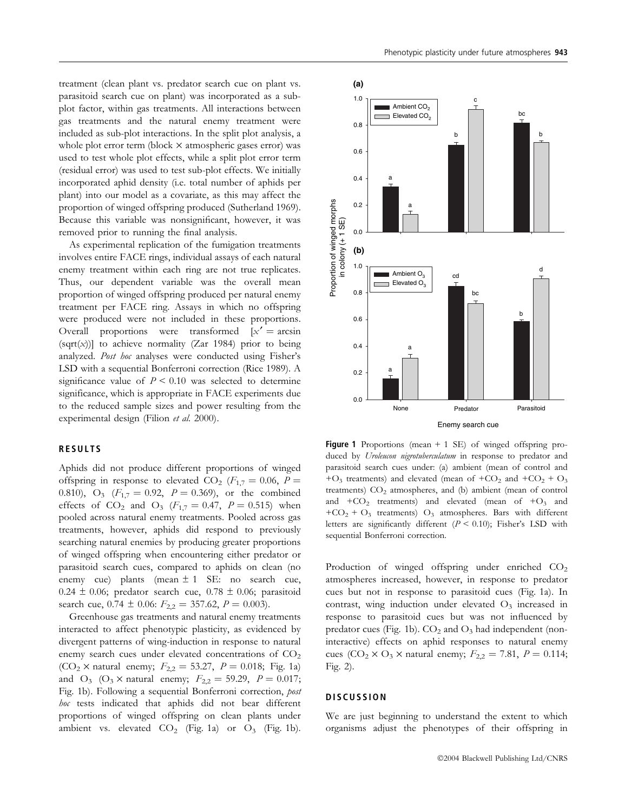treatment (clean plant vs. predator search cue on plant vs. parasitoid search cue on plant) was incorporated as a subplot factor, within gas treatments. All interactions between gas treatments and the natural enemy treatment were included as sub-plot interactions. In the split plot analysis, a whole plot error term (block  $\times$  atmospheric gases error) was used to test whole plot effects, while a split plot error term (residual error) was used to test sub-plot effects. We initially incorporated aphid density (i.e. total number of aphids per plant) into our model as a covariate, as this may affect the proportion of winged offspring produced (Sutherland 1969). Because this variable was nonsignificant, however, it was removed prior to running the final analysis.

As experimental replication of the fumigation treatments involves entire FACE rings, individual assays of each natural enemy treatment within each ring are not true replicates. Thus, our dependent variable was the overall mean proportion of winged offspring produced per natural enemy treatment per FACE ring. Assays in which no offspring were produced were not included in these proportions. Overall proportions were transformed  $[x' = arcsin$  $(sqrt(x))]$  to achieve normality (Zar 1984) prior to being analyzed. Post hoc analyses were conducted using Fisher's LSD with a sequential Bonferroni correction (Rice 1989). A significance value of  $P < 0.10$  was selected to determine significance, which is appropriate in FACE experiments due to the reduced sample sizes and power resulting from the experimental design (Filion et al. 2000).

## RESULTS

Aphids did not produce different proportions of winged offspring in response to elevated CO<sub>2</sub> ( $F_{1,7} = 0.06$ ,  $P =$ 0.810), O<sub>3</sub> ( $F_{1,7} = 0.92$ ,  $P = 0.369$ ), or the combined effects of CO<sub>2</sub> and O<sub>3</sub> ( $F_{1,7} = 0.47$ ,  $P = 0.515$ ) when pooled across natural enemy treatments. Pooled across gas treatments, however, aphids did respond to previously searching natural enemies by producing greater proportions of winged offspring when encountering either predator or parasitoid search cues, compared to aphids on clean (no enemy cue) plants (mean  $\pm 1$  SE: no search cue, 0.24  $\pm$  0.06; predator search cue, 0.78  $\pm$  0.06; parasitoid search cue,  $0.74 \pm 0.06$ :  $F_{2,2} = 357.62$ ,  $P = 0.003$ ).

Greenhouse gas treatments and natural enemy treatments interacted to affect phenotypic plasticity, as evidenced by divergent patterns of wing-induction in response to natural enemy search cues under elevated concentrations of  $CO<sub>2</sub>$ (CO<sub>2</sub>  $\times$  natural enemy;  $F_{2,2} = 53.27$ ,  $P = 0.018$ ; Fig. 1a) and O<sub>3</sub> (O<sub>3</sub>  $\times$  natural enemy;  $F_{2,2} = 59.29$ ,  $P = 0.017$ ; Fig. 1b). Following a sequential Bonferroni correction, post hoc tests indicated that aphids did not bear different proportions of winged offspring on clean plants under ambient vs. elevated  $CO_2$  (Fig. 1a) or  $O_3$  (Fig. 1b).



**Figure 1** Proportions (mean  $+ 1$  SE) of winged offspring produced by Uroleucon nigrotuberculatum in response to predator and parasitoid search cues under: (a) ambient (mean of control and + $O_3$  treatments) and elevated (mean of + $CO_2$  and + $CO_2$  +  $O_3$ ) treatments) CO<sub>2</sub> atmospheres, and (b) ambient (mean of control and  $+CO_2$  treatments) and elevated (mean of  $+O_3$  and  $+CO<sub>2</sub> + O<sub>3</sub>$  treatments)  $O<sub>3</sub>$  atmospheres. Bars with different letters are significantly different  $(P < 0.10)$ ; Fisher's LSD with sequential Bonferroni correction.

Production of winged offspring under enriched  $CO<sub>2</sub>$ atmospheres increased, however, in response to predator cues but not in response to parasitoid cues (Fig. 1a). In contrast, wing induction under elevated  $O<sub>3</sub>$  increased in response to parasitoid cues but was not influenced by predator cues (Fig. 1b).  $CO<sub>2</sub>$  and  $O<sub>3</sub>$  had independent (noninteractive) effects on aphid responses to natural enemy cues (CO<sub>2</sub> × O<sub>3</sub> × natural enemy;  $F_{2,2} = 7.81, P = 0.114;$ Fig. 2).

#### **DISCUSSION**

We are just beginning to understand the extent to which organisms adjust the phenotypes of their offspring in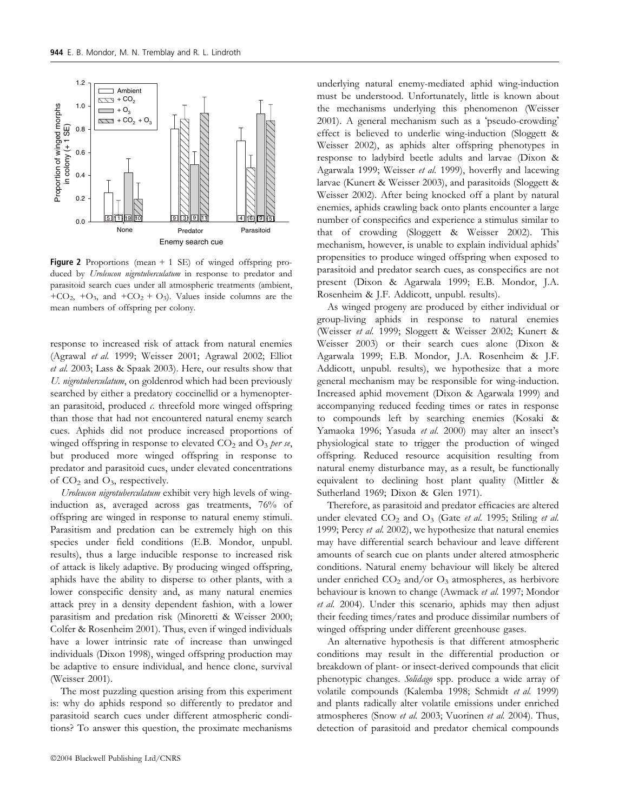

**Figure 2** Proportions (mean  $+ 1$  SE) of winged offspring produced by Uroleucon nigrotuberculatum in response to predator and parasitoid search cues under all atmospheric treatments (ambient, +CO<sub>2</sub>, +O<sub>3</sub>, and +CO<sub>2</sub> + O<sub>3</sub>). Values inside columns are the mean numbers of offspring per colony.

response to increased risk of attack from natural enemies (Agrawal et al. 1999; Weisser 2001; Agrawal 2002; Elliot et al. 2003; Lass & Spaak 2003). Here, our results show that U. nigrotuberculatum, on goldenrod which had been previously searched by either a predatory coccinellid or a hymenopteran parasitoid, produced  $c$ . threefold more winged offspring than those that had not encountered natural enemy search cues. Aphids did not produce increased proportions of winged offspring in response to elevated  $CO<sub>2</sub>$  and  $O<sub>3</sub>$  per se, but produced more winged offspring in response to predator and parasitoid cues, under elevated concentrations of  $CO<sub>2</sub>$  and  $O<sub>3</sub>$ , respectively.

Uroleucon nigrotuberculatum exhibit very high levels of winginduction as, averaged across gas treatments, 76% of offspring are winged in response to natural enemy stimuli. Parasitism and predation can be extremely high on this species under field conditions (E.B. Mondor, unpubl. results), thus a large inducible response to increased risk of attack is likely adaptive. By producing winged offspring, aphids have the ability to disperse to other plants, with a lower conspecific density and, as many natural enemies attack prey in a density dependent fashion, with a lower parasitism and predation risk (Minoretti & Weisser 2000; Colfer & Rosenheim 2001). Thus, even if winged individuals have a lower intrinsic rate of increase than unwinged individuals (Dixon 1998), winged offspring production may be adaptive to ensure individual, and hence clone, survival (Weisser 2001).

The most puzzling question arising from this experiment is: why do aphids respond so differently to predator and parasitoid search cues under different atmospheric conditions? To answer this question, the proximate mechanisms

2004 Blackwell Publishing Ltd/CNRS

underlying natural enemy-mediated aphid wing-induction must be understood. Unfortunately, little is known about the mechanisms underlying this phenomenon (Weisser 2001). A general mechanism such as a 'pseudo-crowding' effect is believed to underlie wing-induction (Sloggett & Weisser 2002), as aphids alter offspring phenotypes in response to ladybird beetle adults and larvae (Dixon & Agarwala 1999; Weisser et al. 1999), hoverfly and lacewing larvae (Kunert & Weisser 2003), and parasitoids (Sloggett & Weisser 2002). After being knocked off a plant by natural enemies, aphids crawling back onto plants encounter a large number of conspecifics and experience a stimulus similar to that of crowding (Sloggett & Weisser 2002). This mechanism, however, is unable to explain individual aphids' propensities to produce winged offspring when exposed to parasitoid and predator search cues, as conspecifics are not present (Dixon & Agarwala 1999; E.B. Mondor, J.A. Rosenheim & J.F. Addicott, unpubl. results).

As winged progeny are produced by either individual or group-living aphids in response to natural enemies (Weisser et al. 1999; Sloggett & Weisser 2002; Kunert & Weisser 2003) or their search cues alone (Dixon & Agarwala 1999; E.B. Mondor, J.A. Rosenheim & J.F. Addicott, unpubl. results), we hypothesize that a more general mechanism may be responsible for wing-induction. Increased aphid movement (Dixon & Agarwala 1999) and accompanying reduced feeding times or rates in response to compounds left by searching enemies (Kosaki & Yamaoka 1996; Yasuda et al. 2000) may alter an insect's physiological state to trigger the production of winged offspring. Reduced resource acquisition resulting from natural enemy disturbance may, as a result, be functionally equivalent to declining host plant quality (Mittler & Sutherland 1969; Dixon & Glen 1971).

Therefore, as parasitoid and predator efficacies are altered under elevated  $CO_2$  and  $O_3$  (Gate *et al.* 1995; Stiling *et al.* 1999; Percy et al. 2002), we hypothesize that natural enemies may have differential search behaviour and leave different amounts of search cue on plants under altered atmospheric conditions. Natural enemy behaviour will likely be altered under enriched  $CO<sub>2</sub>$  and/or  $O<sub>3</sub>$  atmospheres, as herbivore behaviour is known to change (Awmack et al. 1997; Mondor et al. 2004). Under this scenario, aphids may then adjust their feeding times/rates and produce dissimilar numbers of winged offspring under different greenhouse gases.

An alternative hypothesis is that different atmospheric conditions may result in the differential production or breakdown of plant- or insect-derived compounds that elicit phenotypic changes. Solidago spp. produce a wide array of volatile compounds (Kalemba 1998; Schmidt et al. 1999) and plants radically alter volatile emissions under enriched atmospheres (Snow et al. 2003; Vuorinen et al. 2004). Thus, detection of parasitoid and predator chemical compounds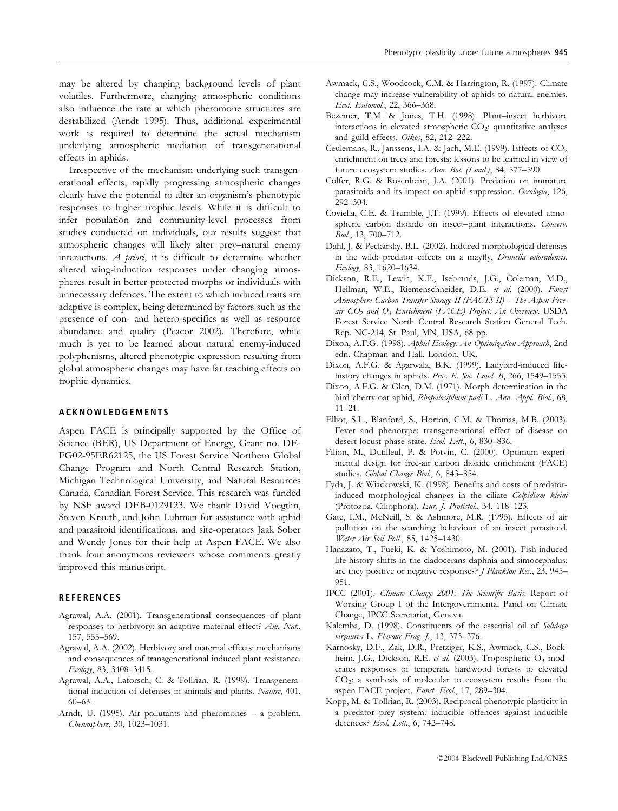may be altered by changing background levels of plant volatiles. Furthermore, changing atmospheric conditions also influence the rate at which pheromone structures are destabilized (Arndt 1995). Thus, additional experimental work is required to determine the actual mechanism underlying atmospheric mediation of transgenerational effects in aphids.

Irrespective of the mechanism underlying such transgenerational effects, rapidly progressing atmospheric changes clearly have the potential to alter an organism's phenotypic responses to higher trophic levels. While it is difficult to infer population and community-level processes from studies conducted on individuals, our results suggest that atmospheric changes will likely alter prey–natural enemy interactions.  $A$  priori, it is difficult to determine whether altered wing-induction responses under changing atmospheres result in better-protected morphs or individuals with unnecessary defences. The extent to which induced traits are adaptive is complex, being determined by factors such as the presence of con- and hetero-specifics as well as resource abundance and quality (Peacor 2002). Therefore, while much is yet to be learned about natural enemy-induced polyphenisms, altered phenotypic expression resulting from global atmospheric changes may have far reaching effects on trophic dynamics.

#### ACKNOWLEDGEMENTS

Aspen FACE is principally supported by the Office of Science (BER), US Department of Energy, Grant no. DE-FG02-95ER62125, the US Forest Service Northern Global Change Program and North Central Research Station, Michigan Technological University, and Natural Resources Canada, Canadian Forest Service. This research was funded by NSF award DEB-0129123. We thank David Voegtlin, Steven Krauth, and John Luhman for assistance with aphid and parasitoid identifications, and site-operators Jaak Sober and Wendy Jones for their help at Aspen FACE. We also thank four anonymous reviewers whose comments greatly improved this manuscript.

## **REFERENCES**

- Agrawal, A.A. (2001). Transgenerational consequences of plant responses to herbivory: an adaptive maternal effect? Am. Nat., 157, 555–569.
- Agrawal, A.A. (2002). Herbivory and maternal effects: mechanisms and consequences of transgenerational induced plant resistance. Ecology, 83, 3408–3415.
- Agrawal, A.A., Laforsch, C. & Tollrian, R. (1999). Transgenerational induction of defenses in animals and plants. Nature, 401, 60–63.
- Arndt, U. (1995). Air pollutants and pheromones a problem. Chemosphere, 30, 1023–1031.
- Awmack, C.S., Woodcock, C.M. & Harrington, R. (1997). Climate change may increase vulnerability of aphids to natural enemies. Ecol. Entomol., 22, 366–368.
- Bezemer, T.M. & Jones, T.H. (1998). Plant–insect herbivore interactions in elevated atmospheric  $CO<sub>2</sub>$ : quantitative analyses and guild effects. Oikos, 82, 212–222.
- Ceulemans, R., Janssens, I.A. & Jach, M.E. (1999). Effects of  $CO<sub>2</sub>$ enrichment on trees and forests: lessons to be learned in view of future ecosystem studies. Ann. Bot. (Lond.), 84, 577–590.
- Colfer, R.G. & Rosenheim, J.A. (2001). Predation on immature parasitoids and its impact on aphid suppression. Oecologia, 126, 292–304.
- Coviella, C.E. & Trumble, J.T. (1999). Effects of elevated atmospheric carbon dioxide on insect-plant interactions. Conserv. Biol., 13, 700–712.
- Dahl, J. & Peckarsky, B.L. (2002). Induced morphological defenses in the wild: predator effects on a mayfly, Drunella coloradensis. Ecology, 83, 1620–1634.
- Dickson, R.E., Lewin, K.F., Isebrands, J.G., Coleman, M.D., Heilman, W.E., Riemenschneider, D.E. et al. (2000). Forest Atmosphere Carbon Transfer Storage II (FACTS II) – The Aspen Freeair  $CO_2$  and  $O_3$  Enrichment (FACE) Project: An Overview. USDA Forest Service North Central Research Station General Tech. Rep. NC-214, St. Paul, MN, USA, 68 pp.
- Dixon, A.F.G. (1998). Aphid Ecology: An Optimization Approach, 2nd edn. Chapman and Hall, London, UK.
- Dixon, A.F.G. & Agarwala, B.K. (1999). Ladybird-induced lifehistory changes in aphids. Proc. R. Soc. Lond. B, 266, 1549-1553.
- Dixon, A.F.G. & Glen, D.M. (1971). Morph determination in the bird cherry-oat aphid, Rhopalosiphum padi L. Ann. Appl. Biol., 68, 11–21.
- Elliot, S.L., Blanford, S., Horton, C.M. & Thomas, M.B. (2003). Fever and phenotype: transgenerational effect of disease on desert locust phase state. Ecol. Lett., 6, 830-836.
- Filion, M., Dutilleul, P. & Potvin, C. (2000). Optimum experimental design for free-air carbon dioxide enrichment (FACE) studies. Global Change Biol., 6, 843-854.
- Fyda, J. & Wiackowski, K. (1998). Benefits and costs of predatorinduced morphological changes in the ciliate Colpidium kleini (Protozoa, Ciliophora). Eur. J. Protistol., 34, 118–123.
- Gate, I.M., McNeill, S. & Ashmore, M.R. (1995). Effects of air pollution on the searching behaviour of an insect parasitoid. Water Air Soil Poll., 85, 1425–1430.
- Hanazato, T., Fueki, K. & Yoshimoto, M. (2001). Fish-induced life-history shifts in the cladocerans daphnia and simocephalus: are they positive or negative responses? J Plankton Res., 23, 945– 951.
- IPCC (2001). Climate Change 2001: The Scientific Basis. Report of Working Group I of the Intergovernmental Panel on Climate Change, IPCC Secretariat, Geneva.
- Kalemba, D. (1998). Constituents of the essential oil of Solidago virgaurea L. Flavour Frag. J., 13, 373-376.
- Karnosky, D.F., Zak, D.R., Pretziger, K.S., Awmack, C.S., Bockheim, J.G., Dickson, R.E. et al. (2003). Tropospheric  $O_3$  moderates responses of temperate hardwood forests to elevated  $CO<sub>2</sub>$ : a synthesis of molecular to ecosystem results from the aspen FACE project. Funct. Ecol., 17, 289-304.
- Kopp, M. & Tollrian, R. (2003). Reciprocal phenotypic plasticity in a predator–prey system: inducible offences against inducible defences? Ecol. Lett., 6, 742–748.